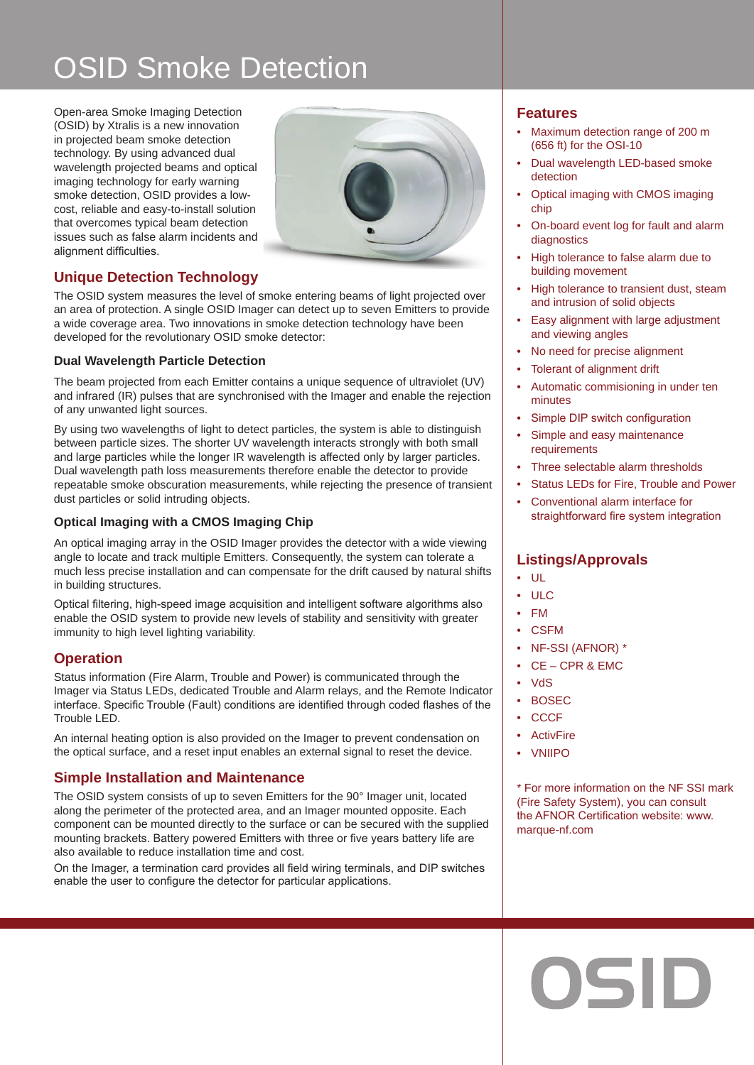# OSID Smoke Detection

Open-area Smoke Imaging Detection (OSID) by Xtralis is a new innovation in projected beam smoke detection technology. By using advanced dual wavelength projected beams and optical imaging technology for early warning smoke detection, OSID provides a lowcost, reliable and easy-to-install solution that overcomes typical beam detection issues such as false alarm incidents and alignment difficulties.



## **Unique Detection Technology**

The OSID system measures the level of smoke entering beams of light projected over an area of protection. A single OSID Imager can detect up to seven Emitters to provide a wide coverage area. Two innovations in smoke detection technology have been developed for the revolutionary OSID smoke detector:

### **Dual Wavelength Particle Detection**

The beam projected from each Emitter contains a unique sequence of ultraviolet (UV) and infrared (IR) pulses that are synchronised with the Imager and enable the rejection of any unwanted light sources.

By using two wavelengths of light to detect particles, the system is able to distinguish between particle sizes. The shorter UV wavelength interacts strongly with both small and large particles while the longer IR wavelength is affected only by larger particles. Dual wavelength path loss measurements therefore enable the detector to provide repeatable smoke obscuration measurements, while rejecting the presence of transient dust particles or solid intruding objects.

### **Optical Imaging with a CMOS Imaging Chip**

An optical imaging array in the OSID Imager provides the detector with a wide viewing angle to locate and track multiple Emitters. Consequently, the system can tolerate a much less precise installation and can compensate for the drift caused by natural shifts in building structures.

Optical filtering, high-speed image acquisition and intelligent software algorithms also enable the OSID system to provide new levels of stability and sensitivity with greater immunity to high level lighting variability.

### **Operation**

Status information (Fire Alarm, Trouble and Power) is communicated through the Imager via Status LEDs, dedicated Trouble and Alarm relays, and the Remote Indicator interface. Specific Trouble (Fault) conditions are identified through coded flashes of the Trouble LED.

An internal heating option is also provided on the Imager to prevent condensation on the optical surface, and a reset input enables an external signal to reset the device.

## **Simple Installation and Maintenance**

The OSID system consists of up to seven Emitters for the 90° Imager unit, located along the perimeter of the protected area, and an Imager mounted opposite. Each component can be mounted directly to the surface or can be secured with the supplied mounting brackets. Battery powered Emitters with three or five years battery life are also available to reduce installation time and cost.

On the Imager, a termination card provides all field wiring terminals, and DIP switches enable the user to configure the detector for particular applications.

### **Features**

- Maximum detection range of 200 m (656 ft) for the OSI-10
- Dual wavelength LED-based smoke detection
- Optical imaging with CMOS imaging chip
- On-board event log for fault and alarm diagnostics
- High tolerance to false alarm due to building movement
- High tolerance to transient dust, steam and intrusion of solid objects
- Easy alignment with large adjustment and viewing angles
- No need for precise alignment
- Tolerant of alignment drift
- Automatic commisioning in under ten minutes
- Simple DIP switch configuration
- Simple and easy maintenance requirements
- Three selectable alarm thresholds
- Status LEDs for Fire, Trouble and Power
- Conventional alarm interface for straightforward fire system integration

## **Listings/Approvals**

- UL
- ULC
- FM
- CSFM
- NF-SSI (AFNOR) \*
- CE CPR & EMC
- VdS
- BOSEC
- CCCF
- ActivFire
- VNIIPO

\* For more information on the NF SSI mark (Fire Safety System), you can consult the AFNOR Certification website: www. marque-nf.com

OSID